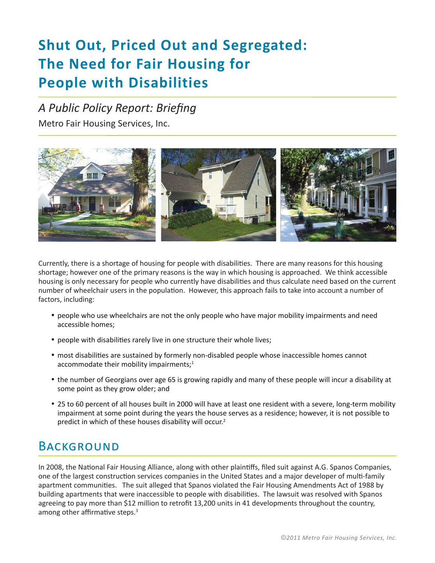# **Shut Out, Priced Out and Segregated: The Need for Fair Housing for People with Disabilities**

### *A Public Policy Report: Briefing*

Metro Fair Housing Services, Inc.



Currently, there is a shortage of housing for people with disabilities. There are many reasons for this housing shortage; however one of the primary reasons is the way in which housing is approached. We think accessible housing is only necessary for people who currently have disabilities and thus calculate need based on the current number of wheelchair users in the population. However, this approach fails to take into account a number of factors, including:

- • people who use wheelchairs are not the only people who have major mobility impairments and need accessible homes;
- people with disabilities rarely live in one structure their whole lives;
- most disabilities are sustained by formerly non-disabled people whose inaccessible homes cannot accommodate their mobility impairments; $1$
- the number of Georgians over age 65 is growing rapidly and many of these people will incur a disability at some point as they grow older; and
- • 25 to 60 percent of all houses built in 2000 will have at least one resident with a severe, long-term mobility impairment at some point during the years the house serves as a residence; however, it is not possible to predict in which of these houses disability will occur.2

### **BACKGROUND**

In 2008, the National Fair Housing Alliance, along with other plaintiffs, filed suit against A.G. Spanos Companies, one of the largest construction services companies in the United States and a major developer of multi-family apartment communities. The suit alleged that Spanos violated the Fair Housing Amendments Act of 1988 by building apartments that were inaccessible to people with disabilities. The lawsuit was resolved with Spanos agreeing to pay more than \$12 million to retrofit 13,200 units in 41 developments throughout the country, among other affirmative steps. $3$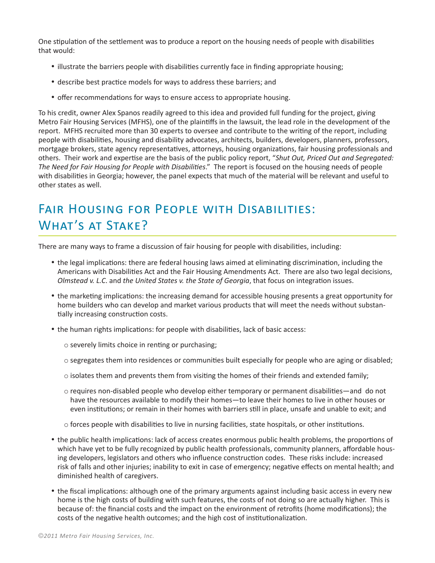One stipulation of the settlement was to produce a report on the housing needs of people with disabilities that would:

- illustrate the barriers people with disabilities currently face in finding appropriate housing;
- describe best practice models for ways to address these barriers; and
- offer recommendations for ways to ensure access to appropriate housing.

To his credit, owner Alex Spanos readily agreed to this idea and provided full funding for the project, giving Metro Fair Housing Services (MFHS), one of the plaintiffs in the lawsuit, the lead role in the development of the report. MFHS recruited more than 30 experts to oversee and contribute to the writing of the report, including people with disabilities, housing and disability advocates, architects, builders, developers, planners, professors, mortgage brokers, state agency representatives, attorneys, housing organizations, fair housing professionals and others. Their work and expertise are the basis of the public policy report, "*Shut Out, Priced Out and Segregated: The Need for Fair Housing for People with Disabilities*." The report is focused on the housing needs of people with disabilities in Georgia; however, the panel expects that much of the material will be relevant and useful to other states as well.

### Fair Housing for People with Disabilities: What's at Stake?

There are many ways to frame a discussion of fair housing for people with disabilities, including:

- the legal implications: there are federal housing laws aimed at eliminating discrimination, including the Americans with Disabilities Act and the Fair Housing Amendments Act. There are also two legal decisions, *Olmstead v. L.C*. and *the United States v. the State of Georgia*, that focus on integration issues.
- the marketing implications: the increasing demand for accessible housing presents a great opportunity for home builders who can develop and market various products that will meet the needs without substantially increasing construction costs.
- the human rights implications: for people with disabilities, lack of basic access:
	- $\circ$  severely limits choice in renting or purchasing;
	- $\circ$  segregates them into residences or communities built especially for people who are aging or disabled;
	- $\circ$  isolates them and prevents them from visiting the homes of their friends and extended family;
	- $\circ$  requires non-disabled people who develop either temporary or permanent disabilities—and do not have the resources available to modify their homes—to leave their homes to live in other houses or even institutions; or remain in their homes with barriers still in place, unsafe and unable to exit; and
	- $\circ$  forces people with disabilities to live in nursing facilities, state hospitals, or other institutions.
- the public health implications: lack of access creates enormous public health problems, the proportions of which have yet to be fully recognized by public health professionals, community planners, affordable housing developers, legislators and others who influence construction codes. These risks include: increased risk of falls and other injuries; inability to exit in case of emergency; negative effects on mental health; and diminished health of caregivers.
- the fiscal implications: although one of the primary arguments against including basic access in every new home is the high costs of building with such features, the costs of not doing so are actually higher. This is because of: the financial costs and the impact on the environment of retrofits (home modifications); the costs of the negative health outcomes; and the high cost of institutionalization.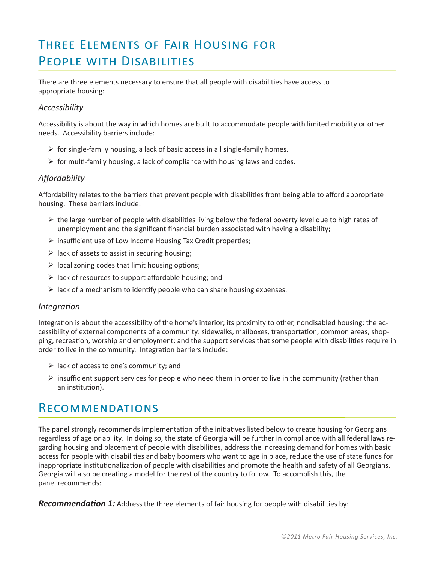## Three Elements of Fair Housing for People with Disabilities

There are three elements necessary to ensure that all people with disabilities have access to appropriate housing:

#### *Accessibility*

Accessibility is about the way in which homes are built to accommodate people with limited mobility or other needs. Accessibility barriers include:

- $\triangleright$  for single-family housing, a lack of basic access in all single-family homes.
- $\triangleright$  for multi-family housing, a lack of compliance with housing laws and codes.

#### *Affordability*

Affordability relates to the barriers that prevent people with disabilities from being able to afford appropriate housing. These barriers include:

- $\triangleright$  the large number of people with disabilities living below the federal poverty level due to high rates of unemployment and the significant financial burden associated with having a disability;
- $\triangleright$  insufficient use of Low Income Housing Tax Credit properties;
- $\triangleright$  lack of assets to assist in securing housing;
- $\triangleright$  local zoning codes that limit housing options;
- $\triangleright$  lack of resources to support affordable housing; and
- $\triangleright$  lack of a mechanism to identify people who can share housing expenses.

#### *Integration*

Integration is about the accessibility of the home's interior; its proximity to other, nondisabled housing; the accessibility of external components of a community: sidewalks, mailboxes, transportation, common areas, shopping, recreation, worship and employment; and the support services that some people with disabilities require in order to live in the community. Integration barriers include:

- $\triangleright$  lack of access to one's community; and
- $\triangleright$  insufficient support services for people who need them in order to live in the community (rather than an institution).

### Recommendations

The panel strongly recommends implementation of the initiatives listed below to create housing for Georgians regardless of age or ability. In doing so, the state of Georgia will be further in compliance with all federal laws regarding housing and placement of people with disabilities, address the increasing demand for homes with basic access for people with disabilities and baby boomers who want to age in place, reduce the use of state funds for inappropriate institutionalization of people with disabilities and promote the health and safety of all Georgians. Georgia will also be creating a model for the rest of the country to follow. To accomplish this, the panel recommends:

*Recommendation 1:* Address the three elements of fair housing for people with disabilities by: